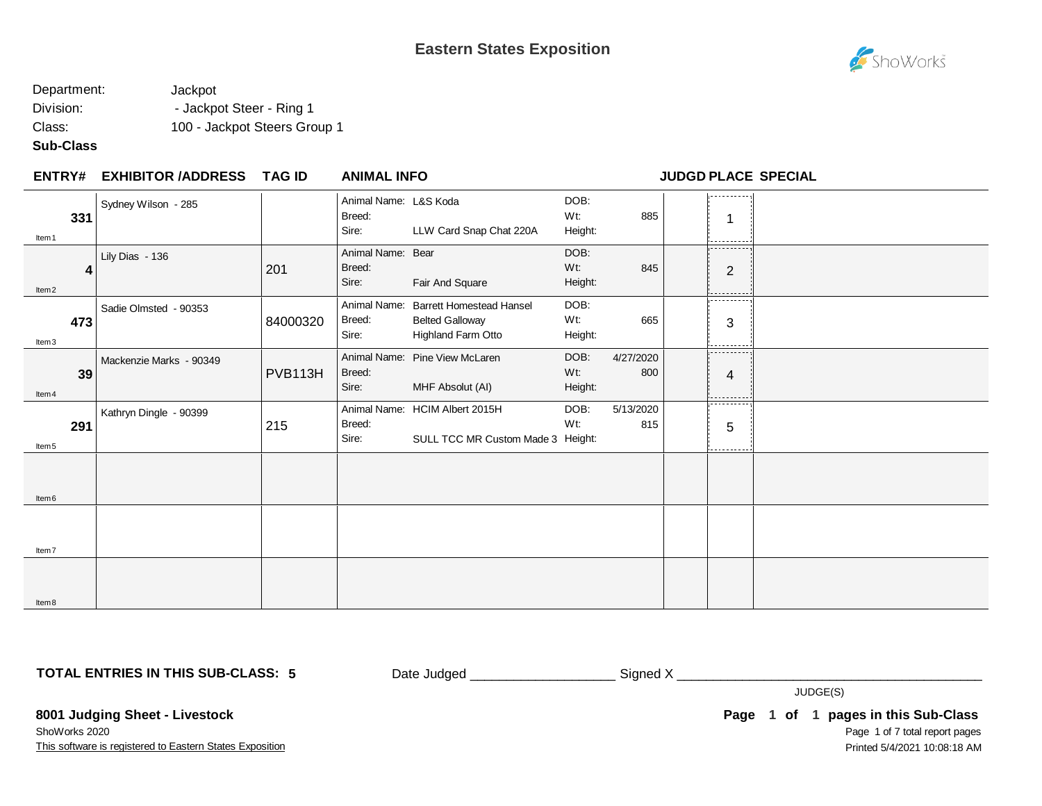

## Department: Jackpot Division:  $\qquad \qquad -$  Jackpot Steer - Ring 1 Class: 100 - Jackpot Steers Group 1

## **Sub-Class**

| <b>ENTRY#</b>            | <b>EXHIBITOR /ADDRESS</b> | <b>TAG ID</b> | <b>ANIMAL INFO</b>                       |                                                                                       |                        |                  | <b>JUDGD PLACE SPECIAL</b>    |  |
|--------------------------|---------------------------|---------------|------------------------------------------|---------------------------------------------------------------------------------------|------------------------|------------------|-------------------------------|--|
| 331<br>Item 1            | Sydney Wilson - 285       |               | Animal Name: L&S Koda<br>Breed:<br>Sire: | LLW Card Snap Chat 220A                                                               | DOB:<br>Wt:<br>Height: | 885              | .<br>1<br>--------            |  |
| 4<br>Item <sub>2</sub>   | Lily Dias - 136           | 201           | Animal Name: Bear<br>Breed:<br>Sire:     | Fair And Square                                                                       | DOB:<br>Wt:<br>Height: | 845              | .<br>$\overline{2}$<br>------ |  |
| 473<br>Item3             | Sadie Olmsted - 90353     | 84000320      | Breed:<br>Sire:                          | Animal Name: Barrett Homestead Hansel<br><b>Belted Galloway</b><br>Highland Farm Otto | DOB:<br>Wt:<br>Height: | 665              | .<br>3<br>-------             |  |
| 39<br>Item 4             | Mackenzie Marks - 90349   | PVB113H       | Breed:<br>Sire:                          | Animal Name: Pine View McLaren<br>MHF Absolut (AI)                                    | DOB:<br>Wt:<br>Height: | 4/27/2020<br>800 | .<br>4<br>------              |  |
| 291<br>Item <sub>5</sub> | Kathryn Dingle - 90399    | 215           | Breed:<br>Sire:                          | Animal Name: HCIM Albert 2015H<br>SULL TCC MR Custom Made 3 Height:                   | DOB:<br>Wt:            | 5/13/2020<br>815 | -------<br>5                  |  |
| Item <sub>6</sub>        |                           |               |                                          |                                                                                       |                        |                  |                               |  |
| Item7                    |                           |               |                                          |                                                                                       |                        |                  |                               |  |
| Item 8                   |                           |               |                                          |                                                                                       |                        |                  |                               |  |

**TOTAL ENTRIES IN THIS SUB-CLASS: 5**

Date Judged \_\_\_\_\_\_\_\_\_\_\_\_\_\_\_\_\_\_\_\_\_\_\_\_\_\_\_ Signed X \_\_\_\_\_\_\_\_\_\_\_\_\_\_\_\_\_\_\_\_\_\_\_\_\_\_\_\_\_\_\_

JUDGE(S)

**8001 Judging Sheet - Livestock** ShoWorks 2020

This software is registered to Eastern States Exposition

Page 1 of 7 total report pages **Page 1 of 1 pages in this Sub-Class** Printed 5/4/2021 10:08:18 AM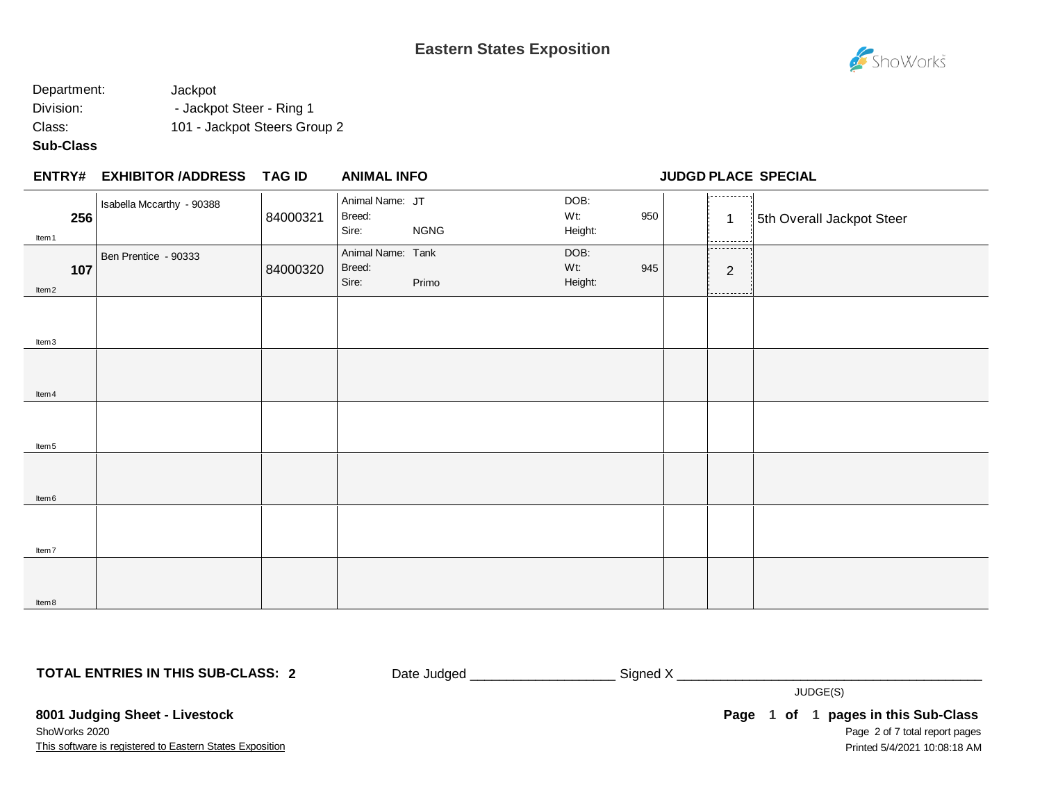

# Department: Jackpot Division: **- Jackpot Steer - Ring 1** Class: 101 - Jackpot Steers Group 2

## **Sub-Class**

### **EXHIBITOR /ADDRESS TAG ID ENTRY# ANIMAL INFO JUDGD PLACE SPECIAL**

| Item 1            | 256 | Isabella Mccarthy - 90388 | 84000321 | Animal Name: JT<br>Breed:<br>Sire:   | <b>NGNG</b> | DOB:<br>Wt:<br>Height: | 950 | . - - - - - - - - - - . 1<br>$\mathbf{1}$<br>. <i>.</i> | 5th Overall Jackpot Steer |
|-------------------|-----|---------------------------|----------|--------------------------------------|-------------|------------------------|-----|---------------------------------------------------------|---------------------------|
| ltem <sub>2</sub> | 107 | Ben Prentice - 90333      | 84000320 | Animal Name: Tank<br>Breed:<br>Sire: | Primo       | DOB:<br>Wt:<br>Height: | 945 | -----------<br>2                                        |                           |
| Item3             |     |                           |          |                                      |             |                        |     | ---------                                               |                           |
| ltem 4            |     |                           |          |                                      |             |                        |     |                                                         |                           |
|                   |     |                           |          |                                      |             |                        |     |                                                         |                           |
| Item 5            |     |                           |          |                                      |             |                        |     |                                                         |                           |
| Item <sub>6</sub> |     |                           |          |                                      |             |                        |     |                                                         |                           |
| Item7<br>ltem 8   |     |                           |          |                                      |             |                        |     |                                                         |                           |

**TOTAL ENTRIES IN THIS SUB-CLASS: 2**

Date Judged \_\_\_\_\_\_\_\_\_\_\_\_\_\_\_\_\_\_\_\_\_\_\_\_\_\_\_ Signed X \_\_\_\_\_\_\_\_\_\_\_\_\_\_\_\_\_\_\_\_\_\_\_\_\_\_\_\_\_\_\_

JUDGE(S)

This software is registered to Eastern States Exposition **8001 Judging Sheet - Livestock** ShoWorks 2020

Page 2 of 7 total report pages **Page 1 of 1 pages in this Sub-Class** Printed 5/4/2021 10:08:18 AM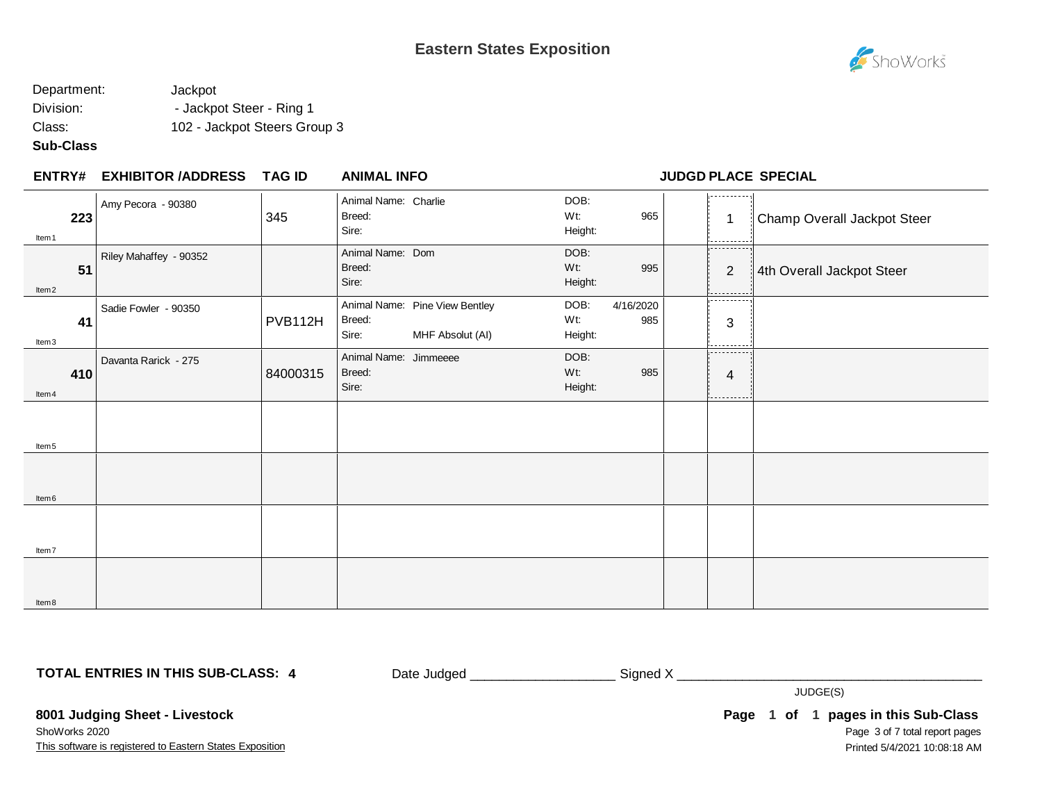

# Department: Jackpot Division: **- Jackpot Steer - Ring 1** Class: 102 - Jackpot Steers Group 3

## **Sub-Class**

|  |  | <b>ENTRY# EXHIBITOR /ADDRESS</b> | TAG ID | <b>ANIMAL INFO</b> |
|--|--|----------------------------------|--------|--------------------|
|--|--|----------------------------------|--------|--------------------|

## **ENTRY# ANIMAL INFO JUDGD PLACE SPECIAL**

| Item 1            | Amy Pecora - 90380<br>223    | 345      | Animal Name: Charlie<br>Breed:<br>Sire:  |                                                    | DOB:<br>Wt:<br>Height: | 965              | .<br>$\mathbf 1$<br>. | Champ Overall Jackpot Steer |
|-------------------|------------------------------|----------|------------------------------------------|----------------------------------------------------|------------------------|------------------|-----------------------|-----------------------------|
| Item <sub>2</sub> | Riley Mahaffey - 90352<br>51 |          | Animal Name: Dom<br>Breed:<br>Sire:      |                                                    | DOB:<br>Wt:<br>Height: | 995              | ----------<br>2       | 4th Overall Jackpot Steer   |
| Item3             | Sadie Fowler - 90350<br>41   | PVB112H  | Breed:<br>Sire:                          | Animal Name: Pine View Bentley<br>MHF Absolut (AI) | DOB:<br>Wt:<br>Height: | 4/16/2020<br>985 | <br>$\sqrt{3}$        |                             |
| Item 4            | Davanta Rarick - 275<br>410  | 84000315 | Animal Name: Jimmeeee<br>Breed:<br>Sire: |                                                    | DOB:<br>Wt:<br>Height: | 985              | ----------<br>4<br>.  |                             |
| Item <sub>5</sub> |                              |          |                                          |                                                    |                        |                  |                       |                             |
| Item <sub>6</sub> |                              |          |                                          |                                                    |                        |                  |                       |                             |
| Item7             |                              |          |                                          |                                                    |                        |                  |                       |                             |
| Item8             |                              |          |                                          |                                                    |                        |                  |                       |                             |

**TOTAL ENTRIES IN THIS SUB-CLASS: 4**

Date Judged \_\_\_\_\_\_\_\_\_\_\_\_\_\_\_\_\_\_\_\_ Signed X \_\_\_\_\_\_\_\_\_\_\_\_\_\_\_\_\_\_\_\_\_\_\_\_\_\_\_\_\_\_\_\_\_\_\_\_\_\_\_\_\_\_

JUDGE(S)

This software is registered to Eastern States Exposition **8001 Judging Sheet - Livestock** ShoWorks 2020

Page 3 of 7 total report pages **Page 1 of 1 pages in this Sub-Class** Printed 5/4/2021 10:08:18 AM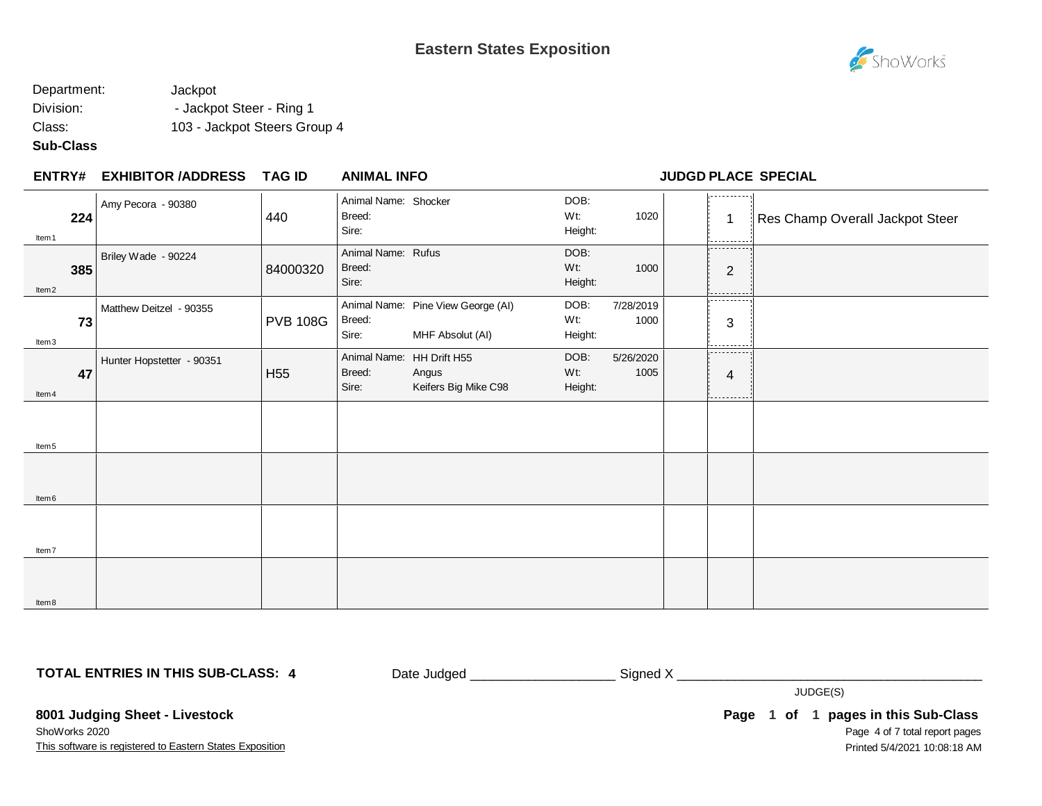

# Department: Jackpot Division: **- Jackpot Steer - Ring 1** Class: 103 - Jackpot Steers Group 4

## **Sub-Class**

| ENTRY# EXHIBITOR /ADDRESS TAG ID | <b>ANIMAL INFO</b> |
|----------------------------------|--------------------|
|----------------------------------|--------------------|

### **ENTRY# ANIMAL INFO JUDGD PLACE SPECIAL**

| Item 1            | Amy Pecora - 90380<br>224       | 440             | Animal Name: Shocker<br>Breed:<br>Sire: |                                                            | DOB:<br>Wt:<br>Height: | 1020              | ----------<br>1<br>.        | Res Champ Overall Jackpot Steer |
|-------------------|---------------------------------|-----------------|-----------------------------------------|------------------------------------------------------------|------------------------|-------------------|-----------------------------|---------------------------------|
| ltem <sub>2</sub> | Briley Wade - 90224<br>385      | 84000320        | Animal Name: Rufus<br>Breed:<br>Sire:   |                                                            | DOB:<br>Wt:<br>Height: | 1000              | ---------<br>$\overline{2}$ |                                 |
| Item3             | Matthew Deitzel - 90355<br>73   | <b>PVB 108G</b> | Breed:<br>Sire:                         | Animal Name: Pine View George (AI)<br>MHF Absolut (AI)     | DOB:<br>Wt:<br>Height: | 7/28/2019<br>1000 | .<br>3                      |                                 |
| Item 4            | Hunter Hopstetter - 90351<br>47 | H <sub>55</sub> | Breed:<br>Sire:                         | Animal Name: HH Drift H55<br>Angus<br>Keifers Big Mike C98 | DOB:<br>Wt:<br>Height: | 5/26/2020<br>1005 | ----------<br>4<br>------   |                                 |
| Item <sub>5</sub> |                                 |                 |                                         |                                                            |                        |                   |                             |                                 |
| Item <sub>6</sub> |                                 |                 |                                         |                                                            |                        |                   |                             |                                 |
| Item7             |                                 |                 |                                         |                                                            |                        |                   |                             |                                 |
| ltem 8            |                                 |                 |                                         |                                                            |                        |                   |                             |                                 |

**TOTAL ENTRIES IN THIS SUB-CLASS: 4**

Date Judged \_\_\_\_\_\_\_\_\_\_\_\_\_\_\_\_\_\_\_\_ Signed X \_\_\_\_\_\_\_\_\_\_\_\_\_\_\_\_\_\_\_\_\_\_\_\_\_\_\_\_\_\_\_\_\_\_\_\_\_\_\_\_\_\_

JUDGE(S)

**8001 Judging Sheet - Livestock** ShoWorks 2020

This software is registered to Eastern States Exposition

Page 4 of 7 total report pages **Page 1 of 1 pages in this Sub-Class** Printed 5/4/2021 10:08:18 AM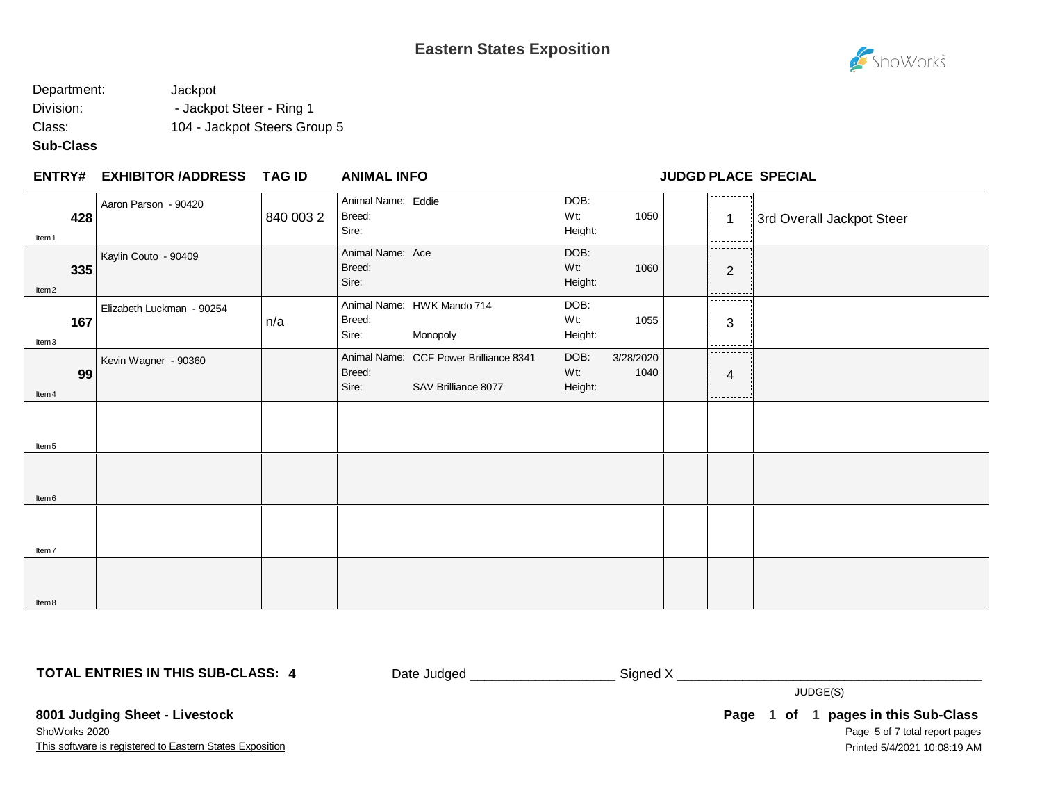

## Department: Jackpot Division: **- Jackpot Steer - Ring 1** Class: 104 - Jackpot Steers Group 5

## **Sub-Class**

### **EXHIBITOR /ADDRESS TAG ID ENTRY# ANIMAL INFO JUDGD PLACE SPECIAL**

| Item <sub>1</sub> | 428 | Aaron Parson - 90420      | 840 003 2 | Animal Name: Eddie<br>Breed:<br>Sire: |                                                               | DOB:<br>Wt:<br>Height: | 1050              | -----------<br>$\mathbf 1$<br>----------- | 3rd Overall Jackpot Steer |
|-------------------|-----|---------------------------|-----------|---------------------------------------|---------------------------------------------------------------|------------------------|-------------------|-------------------------------------------|---------------------------|
| Item <sub>2</sub> | 335 | Kaylin Couto - 90409      |           | Animal Name: Ace<br>Breed:<br>Sire:   |                                                               | DOB:<br>Wt:<br>Height: | 1060              | ----------<br>$\overline{2}$<br>--------- |                           |
| Item3             | 167 | Elizabeth Luckman - 90254 | n/a       | Breed:<br>Sire:                       | Animal Name: HWK Mando 714<br>Monopoly                        | DOB:<br>Wt:<br>Height: | 1055              | .<br>3<br>.                               |                           |
| Item 4            | 99  | Kevin Wagner - 90360      |           | Breed:<br>Sire:                       | Animal Name: CCF Power Brilliance 8341<br>SAV Brilliance 8077 | DOB:<br>Wt:<br>Height: | 3/28/2020<br>1040 | .<br>4<br>.                               |                           |
| Item <sub>5</sub> |     |                           |           |                                       |                                                               |                        |                   |                                           |                           |
| Item <sub>6</sub> |     |                           |           |                                       |                                                               |                        |                   |                                           |                           |
| Item7             |     |                           |           |                                       |                                                               |                        |                   |                                           |                           |
| ltem 8            |     |                           |           |                                       |                                                               |                        |                   |                                           |                           |

**TOTAL ENTRIES IN THIS SUB-CLASS: 4**

Date Judged \_\_\_\_\_\_\_\_\_\_\_\_\_\_\_\_\_\_\_\_\_\_\_\_\_\_\_ Signed X \_\_\_\_\_\_\_\_\_\_\_\_\_\_\_\_\_\_\_\_\_\_\_\_\_\_\_\_\_\_\_

JUDGE(S)

**8001 Judging Sheet - Livestock** ShoWorks 2020

This software is registered to Eastern States Exposition

Page 5 of 7 total report pages **Page 1 of 1 pages in this Sub-Class** Printed 5/4/2021 10:08:19 AM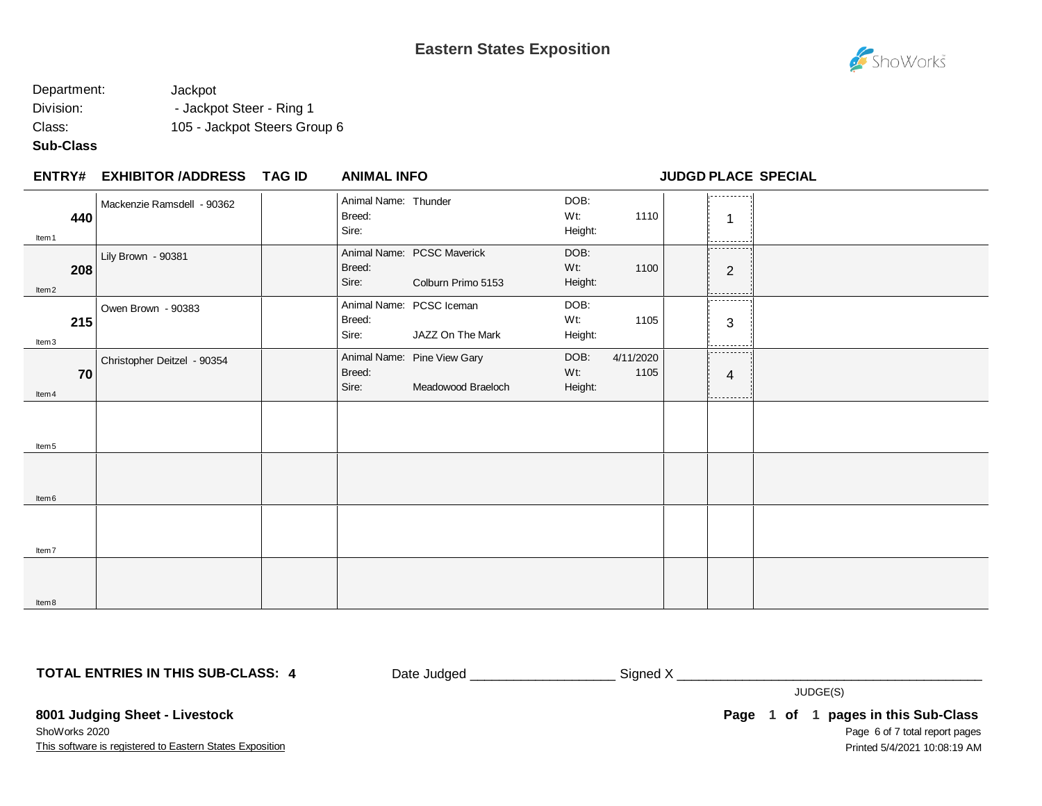

# Department: Jackpot Division:  $\qquad \qquad -$  Jackpot Steer - Ring 1 Class: 105 - Jackpot Steers Group 6

## **Sub-Class**

| <b>ENTRY#</b>            | <b>EXHIBITOR /ADDRESS</b>   | TAG ID | <b>ANIMAL INFO</b>                      |                                                   |                           |                   |                               | <b>JUDGD PLACE SPECIAL</b> |
|--------------------------|-----------------------------|--------|-----------------------------------------|---------------------------------------------------|---------------------------|-------------------|-------------------------------|----------------------------|
| 440<br>Item 1            | Mackenzie Ramsdell - 90362  |        | Animal Name: Thunder<br>Breed:<br>Sire: |                                                   | DOB:<br>Wt:<br>Height:    | 1110              | .<br>.                        |                            |
| 208<br>Item <sub>2</sub> | Lily Brown - 90381          |        | Breed:<br>Sire:                         | Animal Name: PCSC Maverick<br>Colburn Primo 5153  | DOB:<br>$Wt$ :<br>Height: | 1100              | -----------<br>$\overline{2}$ |                            |
| 215<br>Item3             | Owen Brown - 90383          |        | Breed:<br>Sire:                         | Animal Name: PCSC Iceman<br>JAZZ On The Mark      | DOB:<br>Wt:<br>Height:    | 1105              | .<br>3                        |                            |
| 70<br>Item 4             | Christopher Deitzel - 90354 |        | Breed:<br>Sire:                         | Animal Name: Pine View Gary<br>Meadowood Braeloch | DOB:<br>$Wt$ :<br>Height: | 4/11/2020<br>1105 | .<br>4<br>.                   |                            |
| Item <sub>5</sub>        |                             |        |                                         |                                                   |                           |                   |                               |                            |
| Item <sub>6</sub>        |                             |        |                                         |                                                   |                           |                   |                               |                            |
| Item7                    |                             |        |                                         |                                                   |                           |                   |                               |                            |
| Item8                    |                             |        |                                         |                                                   |                           |                   |                               |                            |

**TOTAL ENTRIES IN THIS SUB-CLASS: 4**

Date Judged \_\_\_\_\_\_\_\_\_\_\_\_\_\_\_\_\_\_\_\_ Signed X \_\_\_\_\_\_\_\_\_\_\_\_\_\_\_\_\_\_\_\_\_\_\_\_\_\_\_\_\_\_\_\_\_\_\_\_\_\_\_\_\_\_

JUDGE(S)

**8001 Judging Sheet - Livestock** ShoWorks 2020

This software is registered to Eastern States Exposition

Page 6 of 7 total report pages **Page 1 of 1 pages in this Sub-Class** Printed 5/4/2021 10:08:19 AM